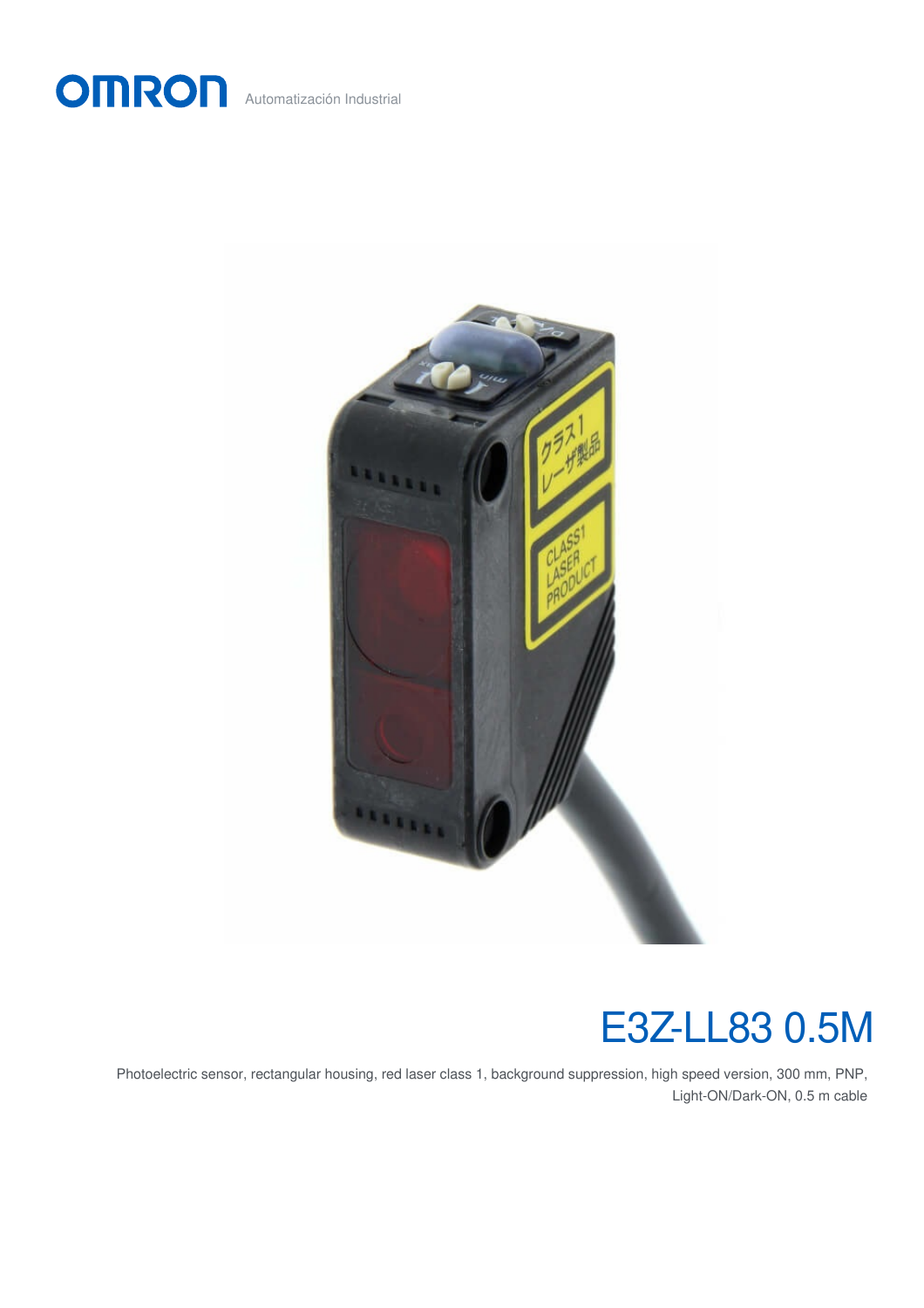



# E3Z-LL83 0.5M

Photoelectric sensor, rectangular housing, red laser class 1, background suppression, high speed version, 300 mm, PNP, Light-ON/Dark-ON, 0.5 m cable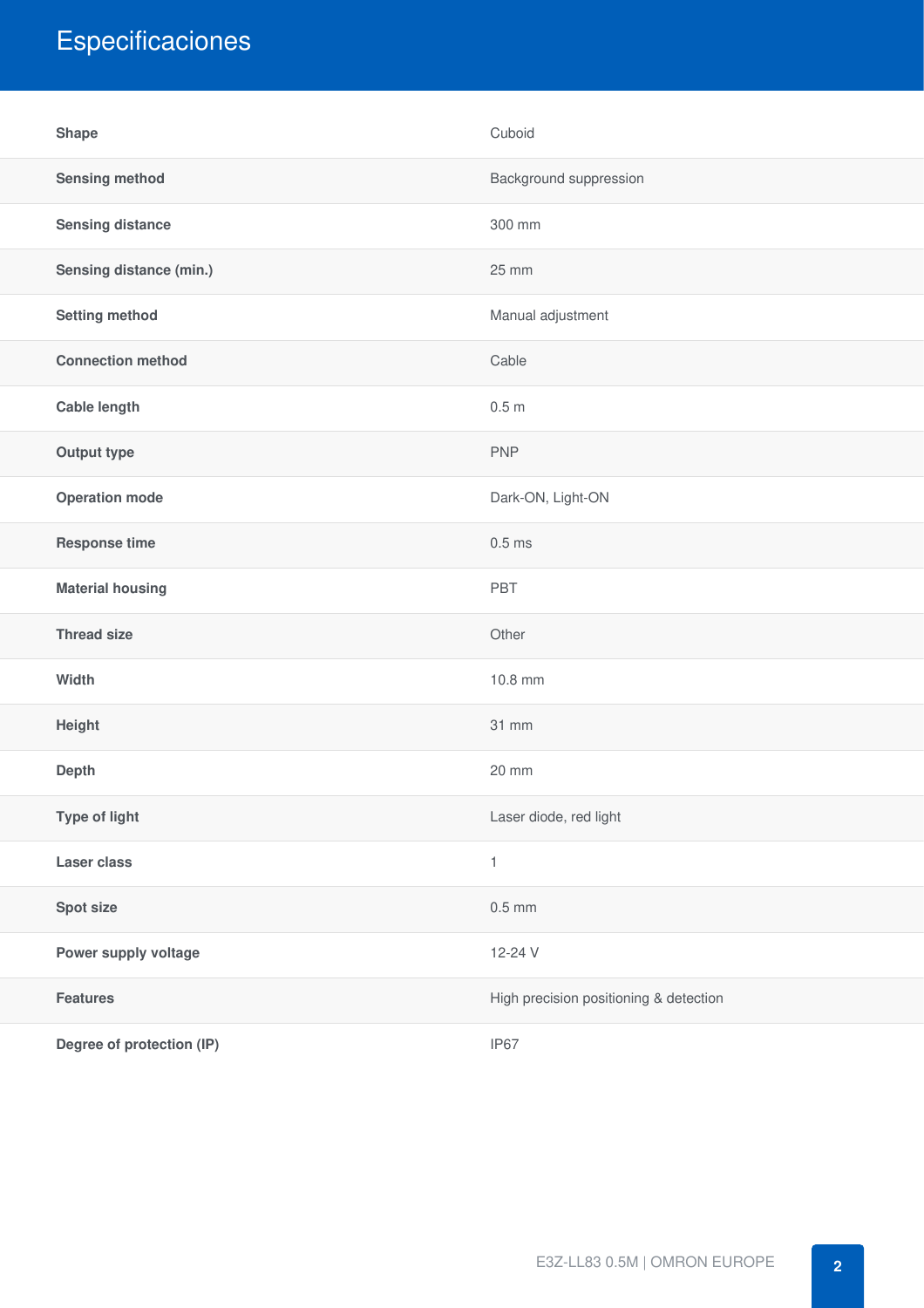## Especificaciones

| <b>Shape</b>              | Cuboid                                 |
|---------------------------|----------------------------------------|
| <b>Sensing method</b>     | Background suppression                 |
| <b>Sensing distance</b>   | 300 mm                                 |
| Sensing distance (min.)   | 25 mm                                  |
| <b>Setting method</b>     | Manual adjustment                      |
| <b>Connection method</b>  | Cable                                  |
| <b>Cable length</b>       | 0.5 <sub>m</sub>                       |
| Output type               | <b>PNP</b>                             |
| <b>Operation mode</b>     | Dark-ON, Light-ON                      |
| <b>Response time</b>      | $0.5$ ms                               |
| <b>Material housing</b>   | PBT                                    |
| <b>Thread size</b>        | Other                                  |
| Width                     | 10.8 mm                                |
| Height                    | 31 mm                                  |
| Depth                     | 20 mm                                  |
| Type of light             | Laser diode, red light                 |
| <b>Laser class</b>        | $\mathbf{1}$                           |
| Spot size                 | $0.5$ mm                               |
| Power supply voltage      | 12-24 V                                |
| <b>Features</b>           | High precision positioning & detection |
| Degree of protection (IP) | IP67                                   |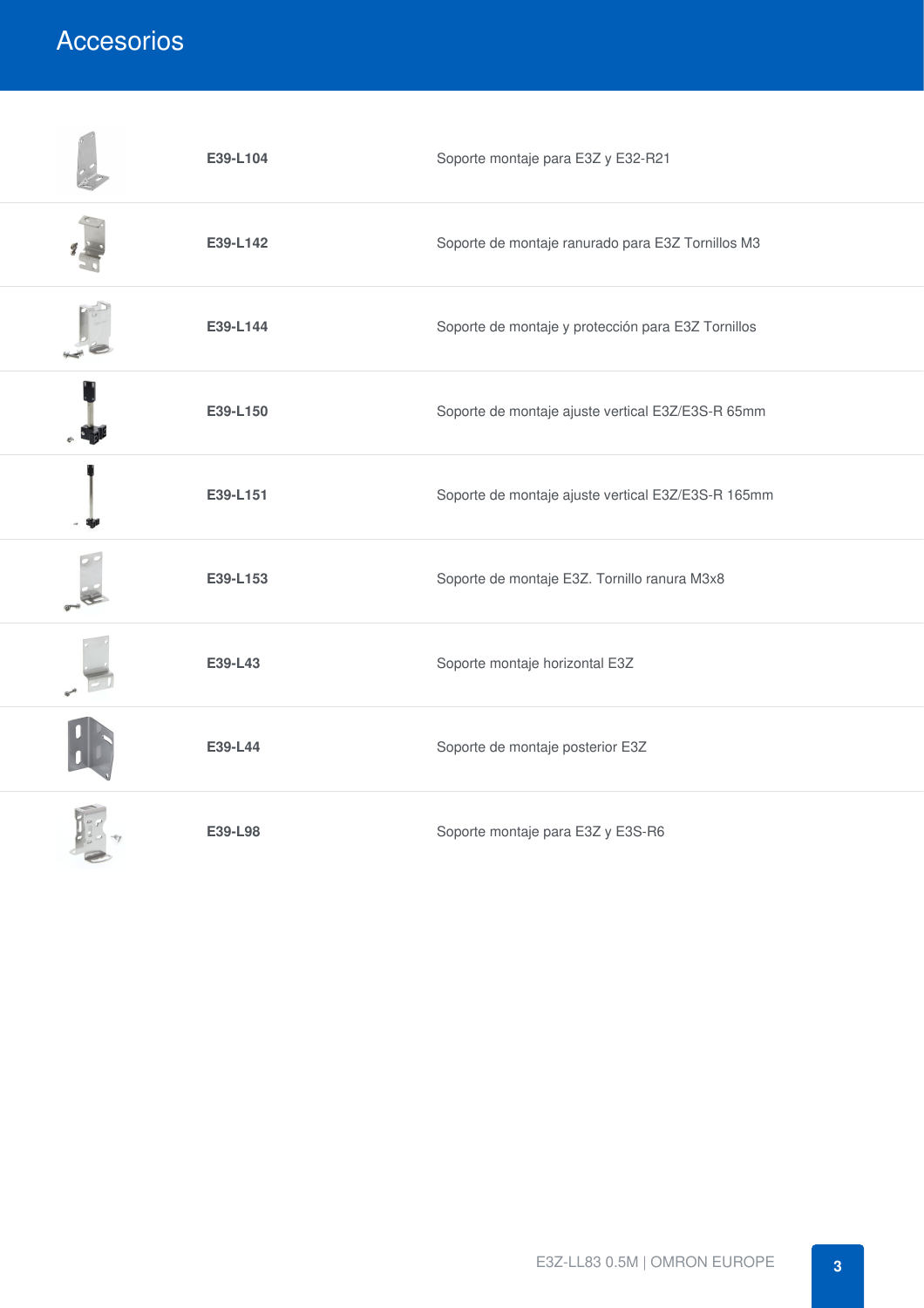### Accesorios

| E39-L104 | Soporte montaje para E3Z y E32-R21                 |
|----------|----------------------------------------------------|
| E39-L142 | Soporte de montaje ranurado para E3Z Tornillos M3  |
| E39-L144 | Soporte de montaje y protección para E3Z Tornillos |
| E39-L150 | Soporte de montaje ajuste vertical E3Z/E3S-R 65mm  |
| E39-L151 | Soporte de montaje ajuste vertical E3Z/E3S-R 165mm |
| E39-L153 | Soporte de montaje E3Z. Tornillo ranura M3x8       |
| E39-L43  | Soporte montaje horizontal E3Z                     |
| E39-L44  | Soporte de montaje posterior E3Z                   |
| E39-L98  | Soporte montaje para E3Z y E3S-R6                  |